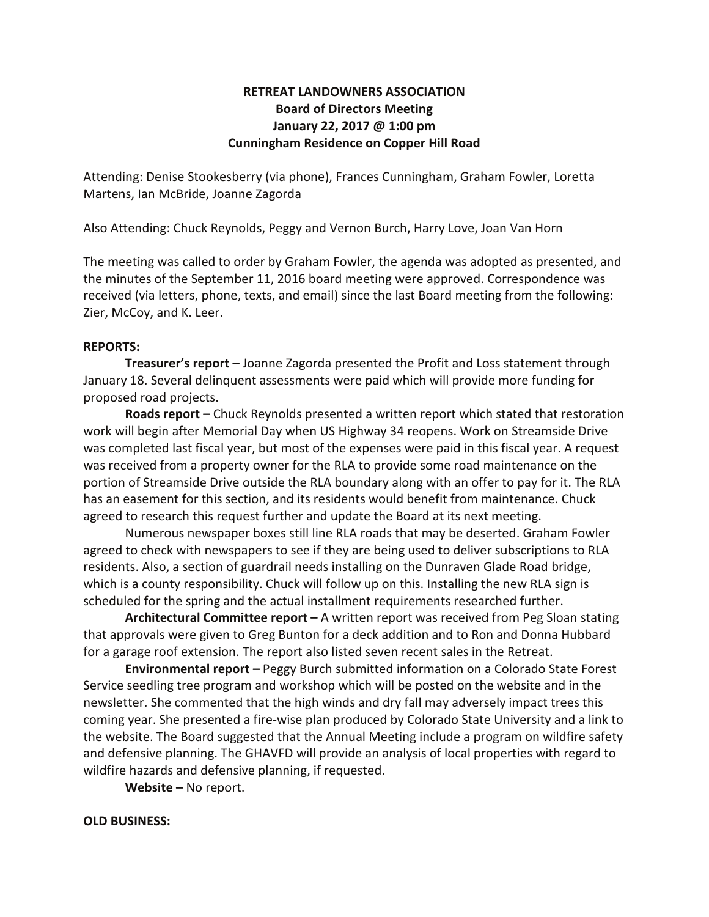## **RETREAT LANDOWNERS ASSOCIATION Board of Directors Meeting January 22, 2017 @ 1:00 pm Cunningham Residence on Copper Hill Road**

Attending: Denise Stookesberry (via phone), Frances Cunningham, Graham Fowler, Loretta Martens, Ian McBride, Joanne Zagorda

Also Attending: Chuck Reynolds, Peggy and Vernon Burch, Harry Love, Joan Van Horn

The meeting was called to order by Graham Fowler, the agenda was adopted as presented, and the minutes of the September 11, 2016 board meeting were approved. Correspondence was received (via letters, phone, texts, and email) since the last Board meeting from the following: Zier, McCoy, and K. Leer.

## **REPORTS:**

**Treasurer's report –** Joanne Zagorda presented the Profit and Loss statement through January 18. Several delinquent assessments were paid which will provide more funding for proposed road projects.

**Roads report –** Chuck Reynolds presented a written report which stated that restoration work will begin after Memorial Day when US Highway 34 reopens. Work on Streamside Drive was completed last fiscal year, but most of the expenses were paid in this fiscal year. A request was received from a property owner for the RLA to provide some road maintenance on the portion of Streamside Drive outside the RLA boundary along with an offer to pay for it. The RLA has an easement for this section, and its residents would benefit from maintenance. Chuck agreed to research this request further and update the Board at its next meeting.

Numerous newspaper boxes still line RLA roads that may be deserted. Graham Fowler agreed to check with newspapers to see if they are being used to deliver subscriptions to RLA residents. Also, a section of guardrail needs installing on the Dunraven Glade Road bridge, which is a county responsibility. Chuck will follow up on this. Installing the new RLA sign is scheduled for the spring and the actual installment requirements researched further.

**Architectural Committee report –** A written report was received from Peg Sloan stating that approvals were given to Greg Bunton for a deck addition and to Ron and Donna Hubbard for a garage roof extension. The report also listed seven recent sales in the Retreat.

**Environmental report –** Peggy Burch submitted information on a Colorado State Forest Service seedling tree program and workshop which will be posted on the website and in the newsletter. She commented that the high winds and dry fall may adversely impact trees this coming year. She presented a fire-wise plan produced by Colorado State University and a link to the website. The Board suggested that the Annual Meeting include a program on wildfire safety and defensive planning. The GHAVFD will provide an analysis of local properties with regard to wildfire hazards and defensive planning, if requested.

**Website –** No report.

## **OLD BUSINESS:**